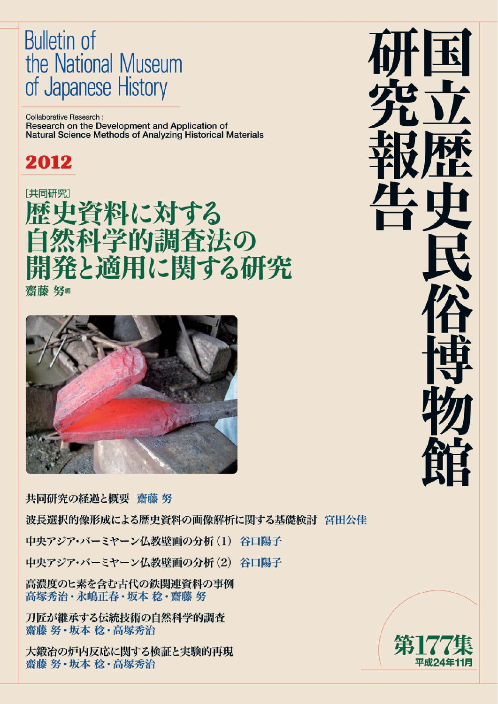# **Bulletin of** the National Museum of Japanese History

**Collaborative Research:** Research on the Development and Application of Natural Science Methods of Analyzing Historical Materials

# 2012

[共同研究] 歴史資料に対する 然科学的調査法の 開発と適用に関する研究 齋藤 努編



共同研究の経過と概要 齋藤 努

波長選択的像形成による歴史資料の画像解析に関する基礎検討 宮田公佳

中央アジア・バーミヤーン仏教壁画の分析(1) 谷口陽子

中央アジア・バーミヤーン仏教壁画の分析(2) 谷口陽子

高濃度のヒ素を含む古代の鉄関連資料の事例 高塚秀治・永嶋正春・坂本 稔・齋藤 努

刀匠が継承する伝統技術の自然科学的調査 齋藤 努·坂本 稔·高塚秀治

大鍛冶の炉内反応に関する検証と実験的再現 齋藤 努·坂本 稔·高塚秀治



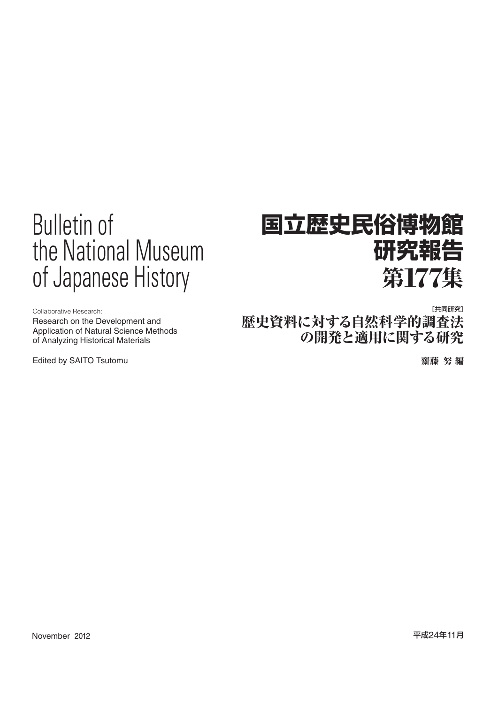# Bulletin of the National Museum of Japanese History

# **国立歴史民俗博物館 研究報告** 第**177**集

Research on the Development and Application of Natural Science Methods of Analyzing Historical Materials

Edited by SAITO Tsutomu 齋藤 努 編

Collaborative Research: [共同研究] 歴史資料に対する自然科学的調査法 の開発と適用に関する研究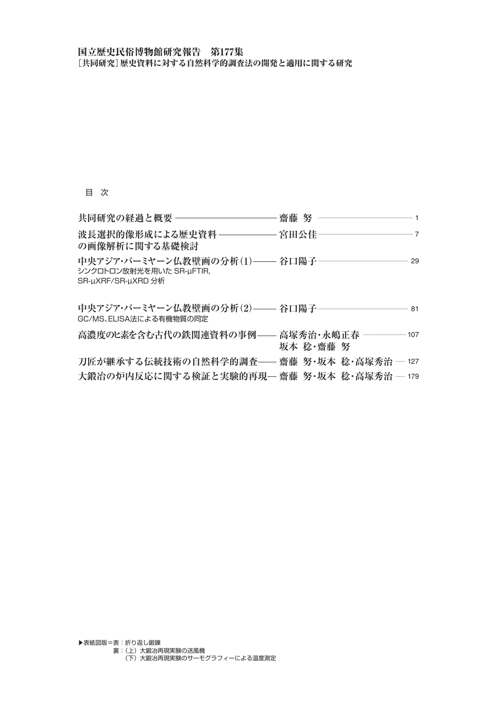## 国立歴史民俗博物館研究報告 第177集 [共同研究]歴史資料に対する自然科学的調査法の開発と適用に関する研究

## 目 次

| の画像解析に関する基礎検討                                                                                       |           |
|-----------------------------------------------------------------------------------------------------|-----------|
| 中央アジア・バーミヤーン仏教壁画の分析(1)―― 谷口陽子 ………………………………………… 29<br>シンクロトロン放射光を用いた SR-µFTIR,<br>SR-uXRF/SR-uXRD 分析 |           |
| 中央アジア・バーミヤーン仏教壁画の分析(2)―― 谷口陽子 ………………………………………… 81<br>GC/MS、ELISA法による有機物質の同定                         |           |
| 高濃度のヒ素を含む古代の鉄関連資料の事例–––高塚秀治・永嶋正春 …………………… 107                                                       | 坂本 稔・齋藤 努 |
| 刀匠が継承する伝統技術の自然科学的調査―― 齋藤 努・坂本 稔・高塚秀治 …… 127                                                         |           |
| 大鍛冶の炉内反応に関する検証と実験的再現— 齋藤 努・坂本 稔・高塚秀治 …… 179                                                         |           |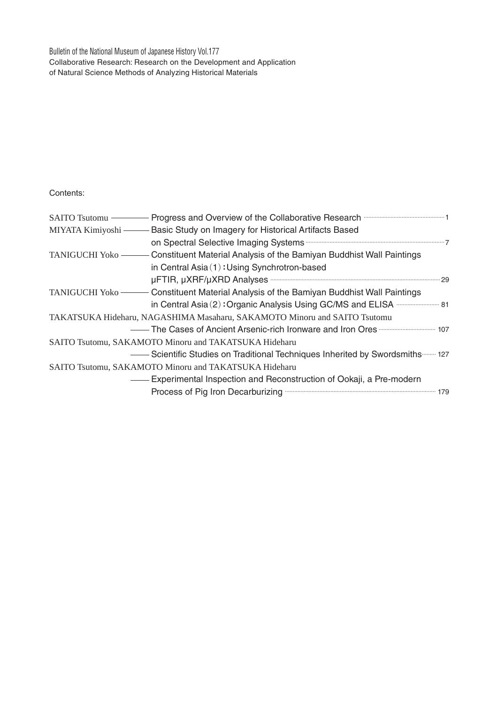Bulletin of the National Museum of Japanese History Vol.177 Collaborative Research: Research on the Development and Application of Natural Science Methods of Analyzing Historical Materials

Contents:

| SAITO Tsutomu    | - Progress and Overview of the Collaborative Research <b>Construct Contains and Street August</b> 1                                 |
|------------------|-------------------------------------------------------------------------------------------------------------------------------------|
|                  | MIYATA Kimiyoshi — Basic Study on Imagery for Historical Artifacts Based                                                            |
|                  |                                                                                                                                     |
| TANIGUCHI Yoko - | - Constituent Material Analysis of the Bamiyan Buddhist Wall Paintings                                                              |
|                  | in Central Asia (1): Using Synchrotron-based                                                                                        |
|                  |                                                                                                                                     |
|                  | TANIGUCHI Yoko ——— Constituent Material Analysis of the Bamiyan Buddhist Wall Paintings                                             |
|                  | in Central Asia (2): Organic Analysis Using GC/MS and ELISA <b>with the State Asia (2)</b> : Organic Analysis Using GC/MS and ELISA |
|                  | TAKATSUKA Hideharu, NAGASHIMA Masaharu, SAKAMOTO Minoru and SAITO Tsutomu                                                           |
|                  |                                                                                                                                     |
|                  | SAITO Tsutomu, SAKAMOTO Minoru and TAKATSUKA Hideharu                                                                               |
|                  | Scientific Studies on Traditional Techniques Inherited by Swordsmiths  127                                                          |
|                  | SAITO Tsutomu, SAKAMOTO Minoru and TAKATSUKA Hideharu                                                                               |
|                  | - Experimental Inspection and Reconstruction of Ookaji, a Pre-modern                                                                |
|                  | Process of Pig Iron Decarburizing <b>Construct Contract Construct Construct</b> 179                                                 |
|                  |                                                                                                                                     |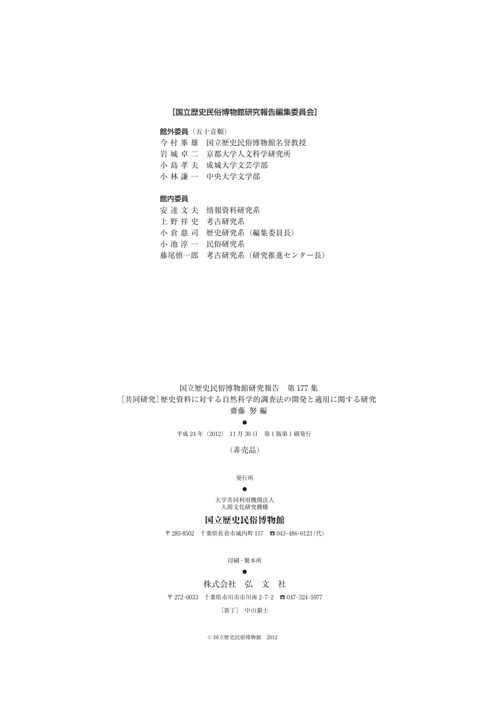#### [国立歴史民俗博物館研究報告編集委員会]

館外委員(五十音順)

- 今村峯雄 国立歴史民俗博物館名誉教授
- 岩城卓二 京都大学人文科学研究所
- 小島孝夫 成城大学文芸学部
- 小林謙一 中央大学文学部

#### 館内委員

- 安達文夫 情報資料研究系
- 上野祥史 考古研究系
- 小倉慈司 歴史研究系(編集委員長)
- 小池淳一 民俗研究系
- 藤尾慎一郎 考古研究系(研究推進センター長)

### 国立歴史民俗博物館研究報告 第 177 集 [共同研究]歴史資料に対する自然科学的調査法の開発と適用に関する研究 齋藤 努 編

# ●

平成 24 年(2012) 11 月 30 日 第 1 版第 1 刷発行

(非売品)

#### 発行所

#### ●

大学共同利用機関法人 人間文化研究機構

## 国立歴史民俗博物館

〒 285-8502 千葉県佐倉市城内町 117 ☎ 043-486-0123(代)

#### 印刷・製本所

#### $\bullet$

#### 株式会社 弘 文 社

〒 272-0033 千葉県市川市市川南 2-7-2 ☎ 047-324-5977

#### [装丁] 中山銀士

© 国立歴史民俗博物館 2012